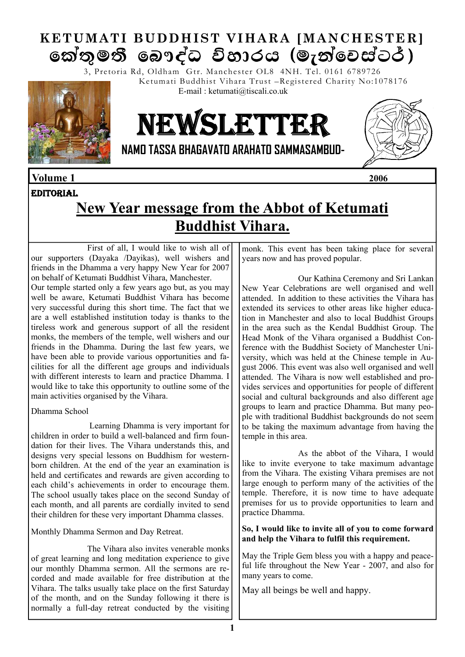# **KETUMATI BUDDHIST VIHARA [MANCHESTER]**  කේතුමතී බෞද්ධ විහාරය (මැත්වෙස්ටර්)

3, Pretoria Rd, Oldham Gtr. Manchester OL8 4NH. Tel. 0161 6789726 Ketumati Buddhist Vihara Trust –Registered Charity No:1078176



# NEWSLETTER

E-mail : ketumati@tiscali.co.uk



**NAMO TASSA BHAGAVATO ARAHATO SAMMASAMBUD-**

### **Volume 1 2006**

### **EDITORIAL**

# **New Year message from the Abbot of Ketumati Buddhist Vihara.**

First of all, I would like to wish all of our supporters (Dayaka /Dayikas), well wishers and friends in the Dhamma a very happy New Year for 2007 on behalf of Ketumati Buddhist Vihara, Manchester.

Our temple started only a few years ago but, as you may well be aware, Ketumati Buddhist Vihara has become very successful during this short time. The fact that we are a well established institution today is thanks to the tireless work and generous support of all the resident monks, the members of the temple, well wishers and our friends in the Dhamma. During the last few years, we have been able to provide various opportunities and facilities for all the different age groups and individuals with different interests to learn and practice Dhamma. I would like to take this opportunity to outline some of the main activities organised by the Vihara.

Dhamma School

 Learning Dhamma is very important for children in order to build a well-balanced and firm foundation for their lives. The Vihara understands this, and designs very special lessons on Buddhism for westernborn children. At the end of the year an examination is held and certificates and rewards are given according to each child's achievements in order to encourage them. The school usually takes place on the second Sunday of each month, and all parents are cordially invited to send their children for these very important Dhamma classes.

Monthly Dhamma Sermon and Day Retreat.

 The Vihara also invites venerable monks of great learning and long meditation experience to give our monthly Dhamma sermon. All the sermons are recorded and made available for free distribution at the Vihara. The talks usually take place on the first Saturday of the month, and on the Sunday following it there is normally a full-day retreat conducted by the visiting monk. This event has been taking place for several years now and has proved popular.

 Our Kathina Ceremony and Sri Lankan New Year Celebrations are well organised and well attended. In addition to these activities the Vihara has extended its services to other areas like higher education in Manchester and also to local Buddhist Groups in the area such as the Kendal Buddhist Group. The Head Monk of the Vihara organised a Buddhist Conference with the Buddhist Society of Manchester University, which was held at the Chinese temple in August 2006. This event was also well organised and well attended. The Vihara is now well established and provides services and opportunities for people of different social and cultural backgrounds and also different age groups to learn and practice Dhamma. But many people with traditional Buddhist backgrounds do not seem to be taking the maximum advantage from having the temple in this area.

 As the abbot of the Vihara, I would like to invite everyone to take maximum advantage from the Vihara. The existing Vihara premises are not large enough to perform many of the activities of the temple. Therefore, it is now time to have adequate premises for us to provide opportunities to learn and practice Dhamma.

**So, I would like to invite all of you to come forward and help the Vihara to fulfil this requirement.** 

May the Triple Gem bless you with a happy and peaceful life throughout the New Year - 2007, and also for many years to come.

May all beings be well and happy.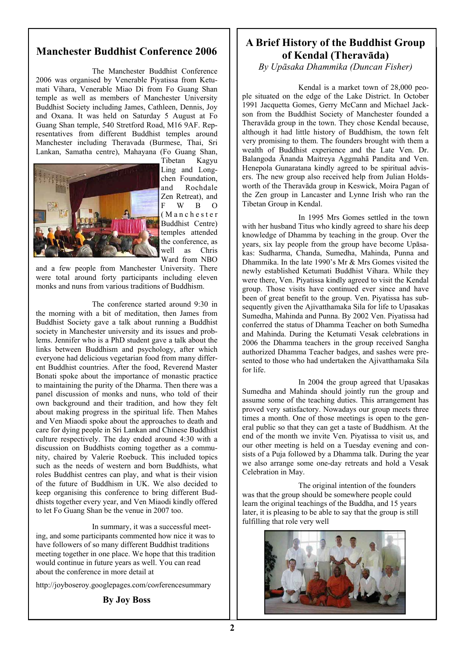### **Manchester Buddhist Conference 2006**

 The Manchester Buddhist Conference 2006 was organised by Venerable Piyatissa from Ketumati Vihara, Venerable Miao Di from Fo Guang Shan temple as well as members of Manchester University Buddhist Society including James, Cathleen, Dennis, Joy and Oxana. It was held on Saturday 5 August at Fo Guang Shan temple, 540 Stretford Road, M16 9AF. Representatives from different Buddhist temples around Manchester including Theravada (Burmese, Thai, Sri Lankan, Samatha centre), Mahayana (Fo Guang Shan,



Tibetan Kagyu Ling and Longchen Foundation, and Rochdale Zen Retreat), and F W B O ( M a n c h e s t e r Buddhist Centre) temples attended the conference, as well as Chris Ward from NBO

and a few people from Manchester University. There were total around forty participants including eleven monks and nuns from various traditions of Buddhism.

 The conference started around 9:30 in the morning with a bit of meditation, then James from Buddhist Society gave a talk about running a Buddhist society in Manchester university and its issues and problems. Jennifer who is a PhD student gave a talk about the links between Buddhism and psychology, after which everyone had delicious vegetarian food from many different Buddhist countries. After the food, Reverend Master Bonati spoke about the importance of monastic practice to maintaining the purity of the Dharma. Then there was a panel discussion of monks and nuns, who told of their own background and their tradition, and how they felt about making progress in the spiritual life. Then Mahes and Ven Miaodi spoke about the approaches to death and care for dying people in Sri Lankan and Chinese Buddhist culture respectively. The day ended around 4:30 with a discussion on Buddhists coming together as a community, chaired by Valerie Roebuck. This included topics such as the needs of western and born Buddhists, what roles Buddhist centres can play, and what is their vision of the future of Buddhism in UK. We also decided to keep organising this conference to bring different Buddhists together every year, and Ven Miaodi kindly offered to let Fo Guang Shan be the venue in 2007 too.

about the conference in about the conference in more detail at In summary, it was a successful meeting, and some participants commented how nice it was to have followers of so many different Buddhist traditions meeting together in one place. We hope that this tradition would continue in future years as well. You can read

http://joyboseroy.googlepages.com/co*n*ferencesummary

### **By Joy Boss**

### **A Brief History of the Buddhist Group of Kendal (Theravāda)**

*By Upāsaka Dhammika (Duncan Fisher)*

 Kendal is a market town of 28,000 people situated on the edge of the Lake District. In October 1991 Jacquetta Gomes, Gerry McCann and Michael Jackson from the Buddhist Society of Manchester founded a Theravāda group in the town. They chose Kendal because, although it had little history of Buddhism, the town felt very promising to them. The founders brought with them a wealth of Buddhist experience and the Late Ven. Dr. Balangoda Ānanda Maitreya Aggmahā Pandita and Ven. Henepola Gunaratana kindly agreed to be spiritual advisers. The new group also received help from Julian Holdsworth of the Theravāda group in Keswick, Moira Pagan of the Zen group in Lancaster and Lynne Irish who ran the Tibetan Group in Kendal.

 In 1995 Mrs Gomes settled in the town with her husband Titus who kindly agreed to share his deep knowledge of Dhamma by teaching in the group. Over the years, six lay people from the group have become Upāsakas: Sudharma, Chanda, Sumedha, Mahinda, Punna and Dhammika. In the late 1990's Mr & Mrs Gomes visited the newly established Ketumati Buddhist Vihara. While they were there, Ven. Piyatissa kindly agreed to visit the Kendal group. Those visits have continued ever since and have been of great benefit to the group. Ven. Piyatissa has subsequently given the Ajivatthamaka Sila for life to Upasakas Sumedha, Mahinda and Punna. By 2002 Ven. Piyatissa had conferred the status of Dhamma Teacher on both Sumedha and Mahinda. During the Ketumati Vesak celebrations in 2006 the Dhamma teachers in the group received Sangha authorized Dhamma Teacher badges, and sashes were presented to those who had undertaken the Ajivatthamaka Sila for life.

 In 2004 the group agreed that Upasakas Sumedha and Mahinda should jointly run the group and assume some of the teaching duties. This arrangement has proved very satisfactory. Nowadays our group meets three times a month. One of those meetings is open to the general public so that they can get a taste of Buddhism. At the end of the month we invite Ven. Piyatissa to visit us, and our other meeting is held on a Tuesday evening and consists of a Puja followed by a Dhamma talk. During the year we also arrange some one-day retreats and hold a Vesak Celebration in May.

 The original intention of the founders was that the group should be somewhere people could learn the original teachings of the Buddha, and 15 years later, it is pleasing to be able to say that the group is still fulfilling that role very well

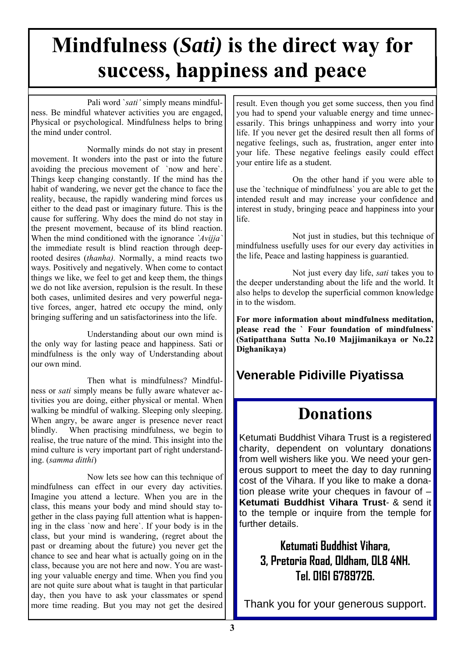# **Mindfulness (***Sati)* **is the direct way for success, happiness and peace**

 Pali word `*sati'* simply means mindfulness. Be mindful whatever activities you are engaged, Physical or psychological. Mindfulness helps to bring the mind under control.

 Normally minds do not stay in present movement. It wonders into the past or into the future avoiding the precious movement of `now and here`. Things keep changing constantly. If the mind has the habit of wandering, we never get the chance to face the reality, because, the rapidly wandering mind forces us either to the dead past or imaginary future. This is the cause for suffering. Why does the mind do not stay in the present movement, because of its blind reaction. When the mind conditioned with the ignorance *`Avijja`* the immediate result is blind reaction through deeprooted desires (*thanha).* Normally, a mind reacts two ways. Positively and negatively. When come to contact things we like, we feel to get and keep them, the things we do not like aversion, repulsion is the result. In these both cases, unlimited desires and very powerful negative forces, anger, hatred etc occupy the mind, only bringing suffering and un satisfactoriness into the life.

 Understanding about our own mind is the only way for lasting peace and happiness. Sati or mindfulness is the only way of Understanding about our own mind.

 Then what is mindfulness? Mindfulness or *sati* simply means be fully aware whatever activities you are doing, either physical or mental. When walking be mindful of walking. Sleeping only sleeping. When angry, be aware anger is presence never react blindly. When practising mindfulness, we begin to realise, the true nature of the mind. This insight into the mind culture is very important part of right understanding. (*samma ditthi*)

 Now lets see how can this technique of mindfulness can effect in our every day activities. Imagine you attend a lecture. When you are in the class, this means your body and mind should stay together in the class paying full attention what is happening in the class `now and here`. If your body is in the class, but your mind is wandering, (regret about the past or dreaming about the future) you never get the chance to see and hear what is actually going on in the class, because you are not here and now. You are wasting your valuable energy and time. When you find you are not quite sure about what is taught in that particular day, then you have to ask your classmates or spend more time reading. But you may not get the desired

result. Even though you get some success, then you find you had to spend your valuable energy and time unnecessarily. This brings unhappiness and worry into your life. If you never get the desired result then all forms of negative feelings, such as, frustration, anger enter into your life. These negative feelings easily could effect your entire life as a student.

 On the other hand if you were able to use the `technique of mindfulness` you are able to get the intended result and may increase your confidence and interest in study, bringing peace and happiness into your life.

Not just in studies, but this technique of mindfulness usefully uses for our every day activities in the life, Peace and lasting happiness is guarantied.

 Not just every day life, *sati* takes you to the deeper understanding about the life and the world. It also helps to develop the superficial common knowledge in to the wisdom.

**For more information about mindfulness meditation, please read the ` Four foundation of mindfulness` (Satipatthana Sutta No.10 Majjimanikaya or No.22 Dighanikaya)** 

## **Venerable Pidiville Piyatissa**

# **Donations**

Ketumati Buddhist Vihara Trust is a registered charity, dependent on voluntary donations from well wishers like you. We need your generous support to meet the day to day running cost of the Vihara. If you like to make a donation please write your cheques in favour of – **Ketumati Buddhist Vihara Trust**- & send it to the temple or inquire from the temple for further details.

## **Ketumati Buddhist Vihara, 3, Pretoria Road, Oldham, OL8 4NH. Tel. 0161 6789726.**

Thank you for your generous support.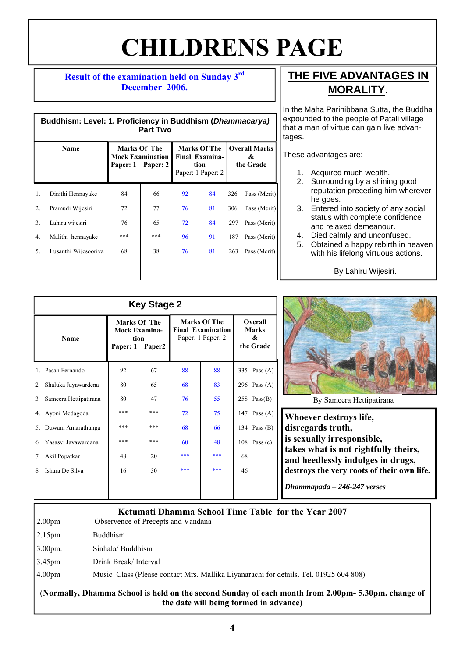# **CHILDRENS PAGE**

### **Result of the examination held on Sunday 3rd December 2006.**

| Buddhism: Level: 1. Proficiency in Buddhism (Dhammacarya)<br><b>Part Two</b> |                      |                                                              |     |                                                                           |    |                                        |              |
|------------------------------------------------------------------------------|----------------------|--------------------------------------------------------------|-----|---------------------------------------------------------------------------|----|----------------------------------------|--------------|
| Name                                                                         |                      | Marks Of The<br><b>Mock Examination</b><br>Paper: 1 Paper: 2 |     | <b>Marks Of The</b><br><b>Final Examina-</b><br>tion<br>Paper: 1 Paper: 2 |    | <b>Overall Marks</b><br>&<br>the Grade |              |
| 1.                                                                           | Dinithi Hennayake    | 84                                                           | 66  | 92                                                                        | 84 | 326                                    | Pass (Merit) |
| 2.                                                                           | Pramudi Wijesiri     | 72                                                           | 77  | 76                                                                        | 81 | 306                                    | Pass (Merit) |
| 3 <sub>1</sub>                                                               | Lahiru wijesiri      | 76                                                           | 65  | 72                                                                        | 84 | 297                                    | Pass (Merit) |
| 4.                                                                           | Malithi hennayake    | ***                                                          | *** | 96                                                                        | 91 | 187                                    | Pass (Merit) |
| 5.                                                                           | Lusanthi Wijesooriya | 68                                                           | 38  | 76                                                                        | 81 | 263                                    | Pass (Merit) |
|                                                                              |                      |                                                              |     |                                                                           |    |                                        |              |

### **THE FIVE ADVANTAGES IN MORALITY**.

In the Maha Parinibbana Sutta, the Buddha expounded to the people of Patali village that a man of virtue can gain live advantages.

These advantages are:

- 1. Acquired much wealth.
- 2. Surrounding by a shining good reputation preceding him wherever he goes.
- 3. Entered into society of any social status with complete confidence and relaxed demeanour.
- 4. Died calmly and unconfused.
- 5. Obtained a happy rebirth in heaven with his lifelong virtuous actions.

By Lahiru Wijesiri.

| Name |                       | Marks Of The<br><b>Mock Examina-</b><br>tion<br>Paper2<br>Paper: 1 |     | <b>Marks Of The</b><br><b>Final Examination</b><br>Paper: 1 Paper: 2 |     | Overall<br><b>Marks</b><br>&<br>the Grade |                |                                               |  |
|------|-----------------------|--------------------------------------------------------------------|-----|----------------------------------------------------------------------|-----|-------------------------------------------|----------------|-----------------------------------------------|--|
| 1.   | Pasan Fernando        | 92                                                                 | 67  | 88                                                                   | 88  |                                           | 335 Pass $(A)$ |                                               |  |
| 2    | Shaluka Jayawardena   | 80                                                                 | 65  | 68                                                                   | 83  |                                           | 296 Pass $(A)$ |                                               |  |
| 3    | Sameera Hettipatirana | 80                                                                 | 47  | 76                                                                   | 55  |                                           | $258$ Pass(B)  | By Sameera Hett                               |  |
|      | 4. Ayoni Medagoda     | ***                                                                | *** | 72                                                                   | 75  |                                           | 147 Pass $(A)$ | <b>Whoever destroys lift</b>                  |  |
|      | 5. Duwani Amarathunga | ***                                                                | *** | 68                                                                   | 66  |                                           | 134 Pass $(B)$ | disregards truth,                             |  |
| 6    | Yasasvi Jayawardana   | ***                                                                | *** | 60                                                                   | 48  |                                           | 108 Pass $(c)$ | is sexually irrespons                         |  |
|      | Akil Popatkar         | 48                                                                 | 20  | ***                                                                  | *** | 68                                        |                | takes what is not rig<br>and heedlessly indul |  |
| 8    | Ishara De Silva       | 16                                                                 | 30  | ***                                                                  | *** | 46                                        |                | destroys the very roots                       |  |
|      |                       |                                                                    |     |                                                                      |     |                                           |                | Dhammapada – 246-247                          |  |



**Whoever destroys life, ible, htfully theirs,** lges in drugs, **s** of their own life.

*Dhammapada – 246-247 verses* 

### **Ketumati Dhamma School Time Table for the Year 2007**

2.00pm Observence of Precepts and Vandana

2.15pm Buddhism

- 3.00pm. Sinhala/ Buddhism
- 3.45pm Drink Break/ Interval

4.00pm Music Class (Please contact Mrs. Mallika Liyanarachi for details. Tel. 01925 604 808)

### (**Normally, Dhamma School is held on the second Sunday of each month from 2.00pm- 5.30pm. change of the date will being formed in advance)**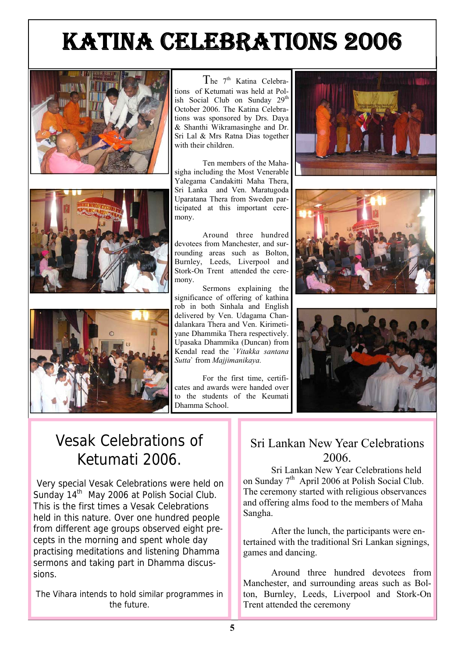# KATINA CELEBRATIONS 2006







The  $7<sup>th</sup>$  Katina Celebrations of Ketumati was held at Polish Social Club on Sunday 29<sup>th</sup> October 2006. The Katina Celebrations was sponsored by Drs. Daya & Shanthi Wikramasinghe and Dr. Sri Lal & Mrs Ratna Dias together with their children

 Ten members of the Mahasigha including the Most Venerable Yalegama Candakitti Maha Thera, Sri Lanka and Ven. Maratugoda Uparatana Thera from Sweden participated at this important ceremony.

 Around three hundred devotees from Manchester, and surrounding areas such as Bolton, Burnley, Leeds, Liverpool and Stork-On Trent attended the ceremony.

 Sermons explaining the significance of offering of kathina rob in both Sinhala and English delivered by Ven. Udagama Chandalankara Thera and Ven. Kirimetiyane Dhammika Thera respectively. Upasaka Dhammika (Duncan) from Kendal read the `*Vitakka santana Sutta*` from *Majjimanikaya.* 

 For the first time, certificates and awards were handed over to the students of the Keumati Dhamma School.







# Vesak Celebrations of Ketumati 2006.

Very special Vesak Celebrations were held on Sunday 14<sup>th</sup> May 2006 at Polish Social Club. This is the first times a Vesak Celebrations held in this nature. Over one hundred people from different age groups observed eight precepts in the morning and spent whole day practising meditations and listening Dhamma sermons and taking part in Dhamma discussions.

The Vihara intends to hold similar programmes in the future.

### Sri Lankan New Year Celebrations 2006.

 Sri Lankan New Year Celebrations held on Sunday  $7<sup>th</sup>$  April 2006 at Polish Social Club. The ceremony started with religious observances and offering alms food to the members of Maha Sangha.

 After the lunch, the participants were entertained with the traditional Sri Lankan signings, games and dancing.

 Around three hundred devotees from Manchester, and surrounding areas such as Bolton, Burnley, Leeds, Liverpool and Stork-On Trent attended the ceremony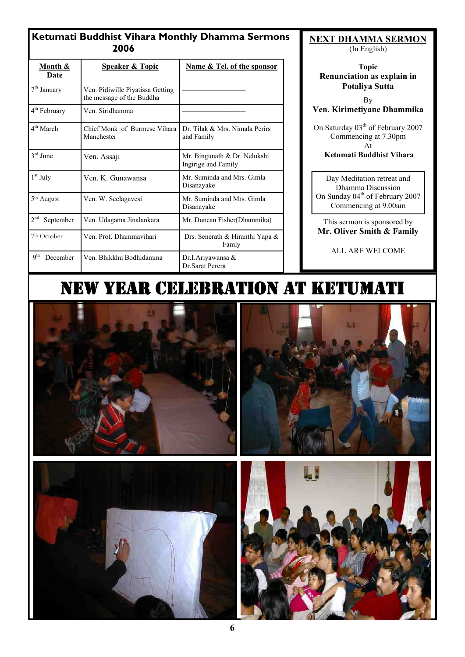| Month &<br>Date              | <b>Speaker &amp; Topic</b>                                    | Name & Tel. of the sponsor                          |  |  |
|------------------------------|---------------------------------------------------------------|-----------------------------------------------------|--|--|
| 7 <sup>th</sup> January      | Ven. Pidiwille Piyatissa Getting<br>the message of the Buddha |                                                     |  |  |
| 4 <sup>th</sup> February     | Ven. Siridhamma                                               |                                                     |  |  |
| 4 <sup>th</sup> March        | Chief Monk of Burmese Vihara<br>Manchester                    | Dr. Tilak & Mrs. Nimala Perirs<br>and Family        |  |  |
| $3rd$ June                   | Ven. Assaji                                                   | Mr. Bingunath & Dr. Nelukshi<br>Ingirige and Family |  |  |
| $1st$ July                   | Ven. K. Gunawansa                                             | Mr. Suminda and Mrs. Gimla<br>Disanayake            |  |  |
| 5 <sup>th</sup> August       | Ven. W. Seelagavesi                                           | Mr. Suminda and Mrs. Gimla<br>Disanayake            |  |  |
| 2 <sup>nd</sup><br>September | Ven. Udagama Jinalankara                                      | Mr. Duncan Fisher (Dhammika)                        |  |  |
| 7 <sup>th</sup> October      | Ven. Prof. Dhammavihari                                       | Drs. Senerath & Hiranthi Yapa &<br>Famly            |  |  |
| 9 <sup>th</sup><br>December  | Ven. Bhikkhu Bodhidamma                                       | Dr.I.Ariyawansa &<br>Dr. Sarat Perera               |  |  |

**NEXT DHAMMA SERMON**

(In English)

**Topic Renunciation as explain in Potaliya Sutta** 

By **Ven. Kirimetiyane Dhammika** 

On Saturday 03<sup>th</sup> of February 2007 Commencing at 7.30pm At

 **Ketumati Buddhist Vihara**

Day Meditation retreat and Dhamma Discussion On Sunday 04<sup>th</sup> of February 2007 Commencing at 9.00am

This sermon is sponsored by **Mr. Oliver Smith & Family** 

ALL ARE WELCOME

# NEW YEAR CELEBRATION AT KETUMATI



![](_page_5_Picture_12.jpeg)

![](_page_5_Picture_13.jpeg)

![](_page_5_Picture_14.jpeg)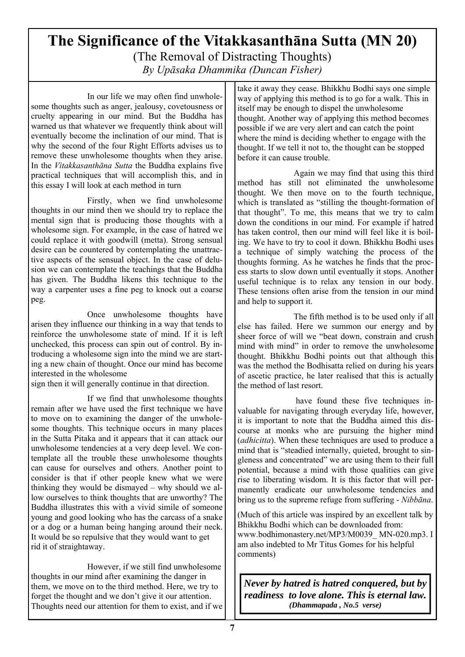## **The Significance of the Vitakkasanthāna Sutta (MN 20)**  (The Removal of Distracting Thoughts) *By Upāsaka Dhammika (Duncan Fisher)*

 In our life we may often find unwholesome thoughts such as anger, jealousy, covetousness or cruelty appearing in our mind. But the Buddha has warned us that whatever we frequently think about will eventually become the inclination of our mind. That is why the second of the four Right Efforts advises us to remove these unwholesome thoughts when they arise. In the *Vitakkasanthāna Sutta* the Buddha explains five practical techniques that will accomplish this, and in this essay I will look at each method in turn

 Firstly, when we find unwholesome thoughts in our mind then we should try to replace the mental sign that is producing those thoughts with a wholesome sign. For example, in the case of hatred we could replace it with goodwill (metta). Strong sensual desire can be countered by contemplating the unattractive aspects of the sensual object. In the case of delusion we can contemplate the teachings that the Buddha has given. The Buddha likens this technique to the way a carpenter uses a fine peg to knock out a coarse peg.

 Once unwholesome thoughts have arisen they influence our thinking in a way that tends to reinforce the unwholesome state of mind. If it is left unchecked, this process can spin out of control. By introducing a wholesome sign into the mind we are starting a new chain of thought. Once our mind has become interested in the wholesome

sign then it will generally continue in that direction.

 If we find that unwholesome thoughts remain after we have used the first technique we have to move on to examining the danger of the unwholesome thoughts. This technique occurs in many places in the Sutta Pitaka and it appears that it can attack our unwholesome tendencies at a very deep level. We contemplate all the trouble these unwholesome thoughts can cause for ourselves and others. Another point to consider is that if other people knew what we were thinking they would be dismayed – why should we allow ourselves to think thoughts that are unworthy? The Buddha illustrates this with a vivid simile of someone young and good looking who has the carcass of a snake or a dog or a human being hanging around their neck. It would be so repulsive that they would want to get rid it of straightaway.

 However, if we still find unwholesome thoughts in our mind after examining the danger in them, we move on to the third method. Here, we try to forget the thought and we don't give it our attention. Thoughts need our attention for them to exist, and if we take it away they cease. Bhikkhu Bodhi says one simple way of applying this method is to go for a walk. This in itself may be enough to dispel the unwholesome thought. Another way of applying this method becomes possible if we are very alert and can catch the point where the mind is deciding whether to engage with the thought. If we tell it not to, the thought can be stopped before it can cause trouble.

 Again we may find that using this third method has still not eliminated the unwholesome thought. We then move on to the fourth technique, which is translated as "stilling the thought-formation of that thought". To me, this means that we try to calm down the conditions in our mind. For example if hatred has taken control, then our mind will feel like it is boiling. We have to try to cool it down. Bhikkhu Bodhi uses a technique of simply watching the process of the thoughts forming. As he watches he finds that the process starts to slow down until eventually it stops. Another useful technique is to relax any tension in our body. These tensions often arise from the tension in our mind and help to support it.

 The fifth method is to be used only if all else has failed. Here we summon our energy and by sheer force of will we "beat down, constrain and crush mind with mind" in order to remove the unwholesome thought. Bhikkhu Bodhi points out that although this was the method the Bodhisatta relied on during his years of ascetic practice, he later realised that this is actually the method of last resort.

 have found these five techniques invaluable for navigating through everyday life, however, it is important to note that the Buddha aimed this discourse at monks who are pursuing the higher mind (*adhicitta*). When these techniques are used to produce a mind that is "steadied internally, quieted, brought to singleness and concentrated" we are using them to their full potential, because a mind with those qualities can give rise to liberating wisdom. It is this factor that will permanently eradicate our unwholesome tendencies and bring us to the supreme refuge from suffering - *Nibbāna*.

(Much of this article was inspired by an excellent talk by Bhikkhu Bodhi which can be downloaded from: www.bodhimonastery.net/MP3/M0039\_ MN-020.mp3. I am also indebted to Mr Titus Gomes for his helpful comments)

*Never by hatred is hatred conquered, but by readiness to love alone. This is eternal law. (Dhammapada , No.5 verse)*